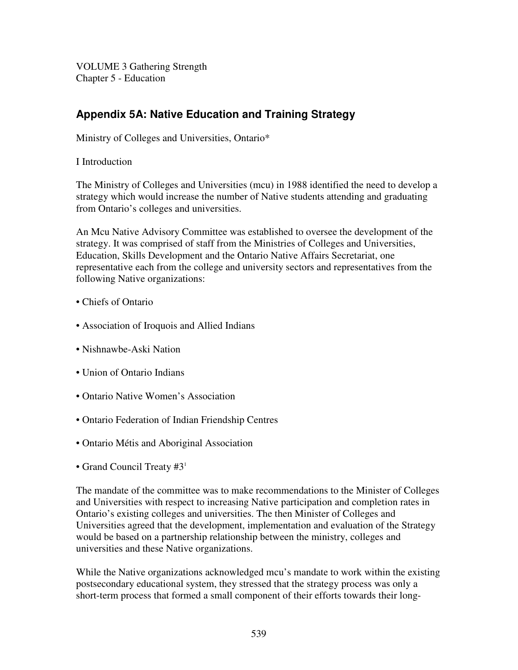VOLUME 3 Gathering Strength Chapter 5 - Education

# **Appendix 5A: Native Education and Training Strategy**

Ministry of Colleges and Universities, Ontario\*

I Introduction

The Ministry of Colleges and Universities (mcu) in 1988 identified the need to develop a strategy which would increase the number of Native students attending and graduating from Ontario's colleges and universities.

An Mcu Native Advisory Committee was established to oversee the development of the strategy. It was comprised of staff from the Ministries of Colleges and Universities, Education, Skills Development and the Ontario Native Affairs Secretariat, one representative each from the college and university sectors and representatives from the following Native organizations:

- Chiefs of Ontario
- Association of Iroquois and Allied Indians
- Nishnawbe-Aski Nation
- Union of Ontario Indians
- Ontario Native Women's Association
- Ontario Federation of Indian Friendship Centres
- Ontario Métis and Aboriginal Association
- Grand Council Treaty #3<sup>1</sup>

The mandate of the committee was to make recommendations to the Minister of Colleges and Universities with respect to increasing Native participation and completion rates in Ontario's existing colleges and universities. The then Minister of Colleges and Universities agreed that the development, implementation and evaluation of the Strategy would be based on a partnership relationship between the ministry, colleges and universities and these Native organizations.

While the Native organizations acknowledged mcu's mandate to work within the existing postsecondary educational system, they stressed that the strategy process was only a short-term process that formed a small component of their efforts towards their long-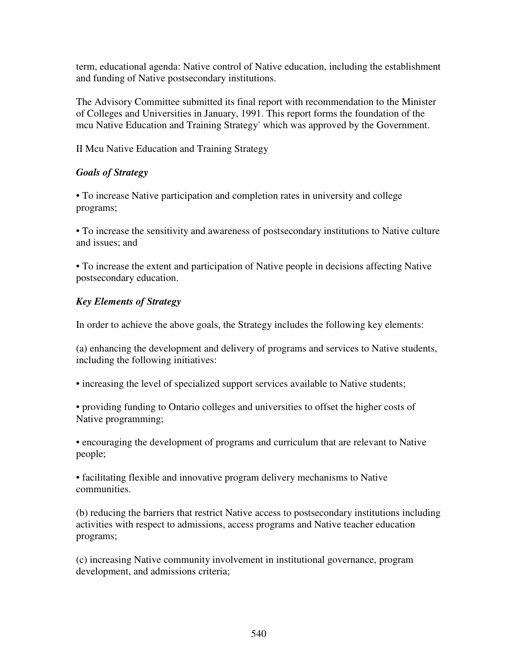term, educational agenda: Native control of Native education, including the establishment and funding of Native postsecondary institutions.

The Advisory Committee submitted its final report with recommendation to the Minister of Colleges and Universities in January, 1991. This report forms the foundation of the mcu Native Education and Training Strategy \* which was approved by the Government.

II Mcu Native Education and Training Strategy

#### *Goals of Strategy*

• To increase Native participation and completion rates in university and college programs;

• To increase the sensitivity and awareness of postsecondary institutions to Native culture and issues; and

• To increase the extent and participation of Native people in decisions affecting Native postsecondary education.

# *Key Elements of Strategy*

In order to achieve the above goals, the Strategy includes the following key elements:

(a) enhancing the development and delivery of programs and services to Native students, including the following initiatives:

• increasing the level of specialized support services available to Native students;

• providing funding to Ontario colleges and universities to offset the higher costs of Native programming;

• encouraging the development of programs and curriculum that are relevant to Native people;

• facilitating flexible and innovative program delivery mechanisms to Native communities.

(b) reducing the barriers that restrict Native access to postsecondary institutions including activities with respect to admissions, access programs and Native teacher education programs;

(c) increasing Native community involvement in institutional governance, program development, and admissions criteria;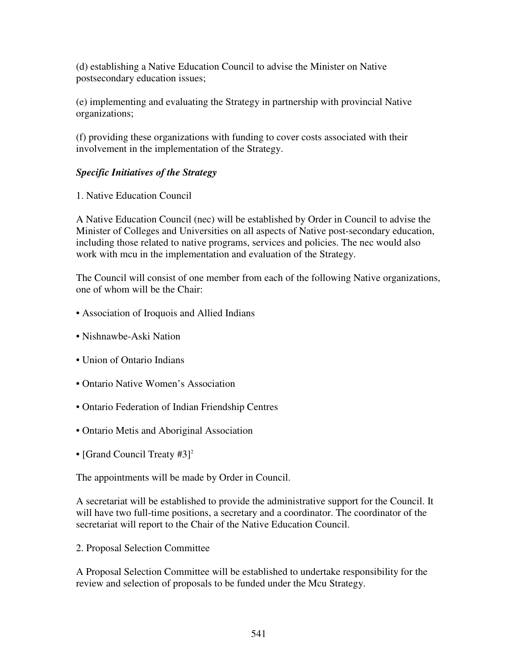(d) establishing a Native Education Council to advise the Minister on Native postsecondary education issues;

(e) implementing and evaluating the Strategy in partnership with provincial Native organizations;

(f) providing these organizations with funding to cover costs associated with their involvement in the implementation of the Strategy.

#### *Specific Initiatives of the Strategy*

1. Native Education Council

A Native Education Council (nec) will be established by Order in Council to advise the Minister of Colleges and Universities on all aspects of Native post-secondary education, including those related to native programs, services and policies. The nec would also work with mcu in the implementation and evaluation of the Strategy.

The Council will consist of one member from each of the following Native organizations, one of whom will be the Chair:

- Association of Iroquois and Allied Indians
- Nishnawbe-Aski Nation
- Union of Ontario Indians
- Ontario Native Women's Association
- Ontario Federation of Indian Friendship Centres
- Ontario Metis and Aboriginal Association
- [Grand Council Treaty #3]<sup>2</sup>

The appointments will be made by Order in Council.

A secretariat will be established to provide the administrative support for the Council. It will have two full-time positions, a secretary and a coordinator. The coordinator of the secretariat will report to the Chair of the Native Education Council.

2. Proposal Selection Committee

A Proposal Selection Committee will be established to undertake responsibility for the review and selection of proposals to be funded under the Mcu Strategy.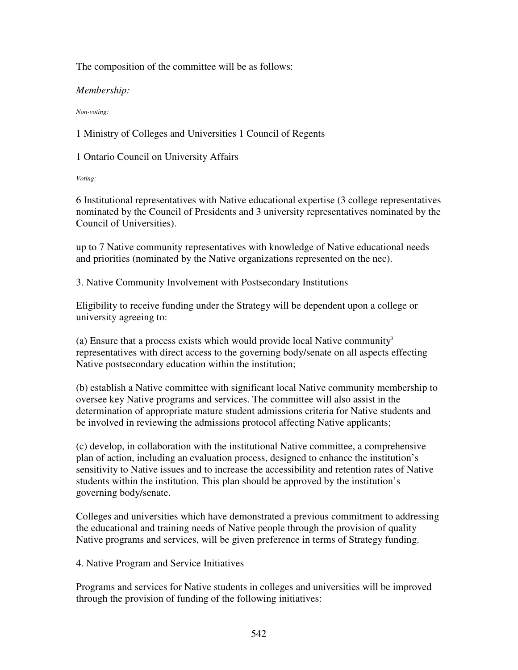The composition of the committee will be as follows:

*Membership:*

*Non-voting:*

1 Ministry of Colleges and Universities 1 Council of Regents

1 Ontario Council on University Affairs

*Voting:*

6 Institutional representatives with Native educational expertise (3 college representatives nominated by the Council of Presidents and 3 university representatives nominated by the Council of Universities).

up to 7 Native community representatives with knowledge of Native educational needs and priorities (nominated by the Native organizations represented on the nec).

3. Native Community Involvement with Postsecondary Institutions

Eligibility to receive funding under the Strategy will be dependent upon a college or university agreeing to:

(a) Ensure that a process exists which would provide local Native community 3 representatives with direct access to the governing body/senate on all aspects effecting Native postsecondary education within the institution;

(b) establish a Native committee with significant local Native community membership to oversee key Native programs and services. The committee will also assist in the determination of appropriate mature student admissions criteria for Native students and be involved in reviewing the admissions protocol affecting Native applicants;

(c) develop, in collaboration with the institutional Native committee, a comprehensive plan of action, including an evaluation process, designed to enhance the institution's sensitivity to Native issues and to increase the accessibility and retention rates of Native students within the institution. This plan should be approved by the institution's governing body/senate.

Colleges and universities which have demonstrated a previous commitment to addressing the educational and training needs of Native people through the provision of quality Native programs and services, will be given preference in terms of Strategy funding.

4. Native Program and Service Initiatives

Programs and services for Native students in colleges and universities will be improved through the provision of funding of the following initiatives: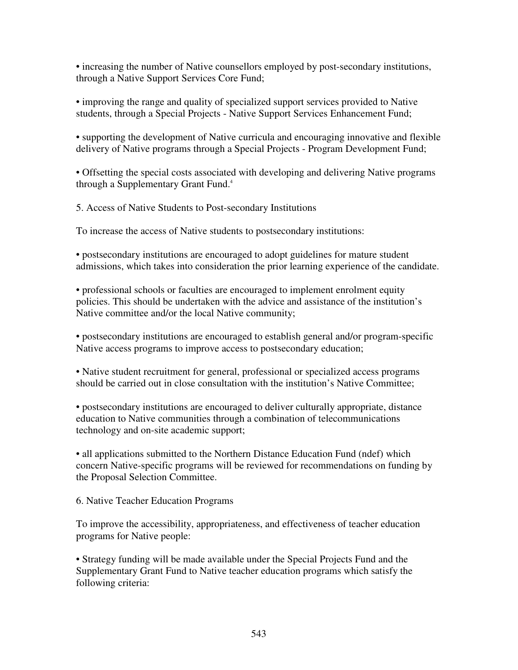• increasing the number of Native counsellors employed by post-secondary institutions, through a Native Support Services Core Fund;

• improving the range and quality of specialized support services provided to Native students, through a Special Projects - Native Support Services Enhancement Fund;

• supporting the development of Native curricula and encouraging innovative and flexible delivery of Native programs through a Special Projects - Program Development Fund;

• Offsetting the special costs associated with developing and delivering Native programs through a Supplementary Grant Fund. 4

5. Access of Native Students to Post-secondary Institutions

To increase the access of Native students to postsecondary institutions:

• postsecondary institutions are encouraged to adopt guidelines for mature student admissions, which takes into consideration the prior learning experience of the candidate.

• professional schools or faculties are encouraged to implement enrolment equity policies. This should be undertaken with the advice and assistance of the institution's Native committee and/or the local Native community;

• postsecondary institutions are encouraged to establish general and/or program-specific Native access programs to improve access to postsecondary education;

• Native student recruitment for general, professional or specialized access programs should be carried out in close consultation with the institution's Native Committee;

• postsecondary institutions are encouraged to deliver culturally appropriate, distance education to Native communities through a combination of telecommunications technology and on-site academic support;

• all applications submitted to the Northern Distance Education Fund (ndef) which concern Native-specific programs will be reviewed for recommendations on funding by the Proposal Selection Committee.

6. Native Teacher Education Programs

To improve the accessibility, appropriateness, and effectiveness of teacher education programs for Native people:

• Strategy funding will be made available under the Special Projects Fund and the Supplementary Grant Fund to Native teacher education programs which satisfy the following criteria: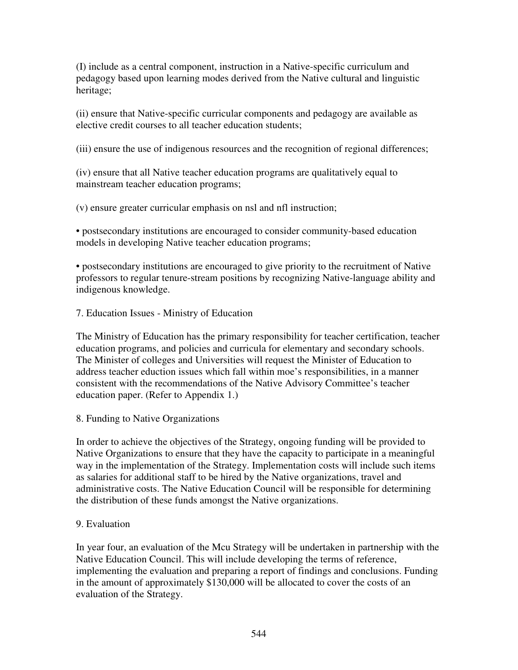(I) include as a central component, instruction in a Native-specific curriculum and pedagogy based upon learning modes derived from the Native cultural and linguistic heritage;

(ii) ensure that Native-specific curricular components and pedagogy are available as elective credit courses to all teacher education students;

(iii) ensure the use of indigenous resources and the recognition of regional differences;

(iv) ensure that all Native teacher education programs are qualitatively equal to mainstream teacher education programs;

(v) ensure greater curricular emphasis on nsl and nfl instruction;

• postsecondary institutions are encouraged to consider community-based education models in developing Native teacher education programs;

• postsecondary institutions are encouraged to give priority to the recruitment of Native professors to regular tenure-stream positions by recognizing Native-language ability and indigenous knowledge.

7. Education Issues - Ministry of Education

The Ministry of Education has the primary responsibility for teacher certification, teacher education programs, and policies and curricula for elementary and secondary schools. The Minister of colleges and Universities will request the Minister of Education to address teacher eduction issues which fall within moe's responsibilities, in a manner consistent with the recommendations of the Native Advisory Committee's teacher education paper. (Refer to Appendix 1.)

8. Funding to Native Organizations

In order to achieve the objectives of the Strategy, ongoing funding will be provided to Native Organizations to ensure that they have the capacity to participate in a meaningful way in the implementation of the Strategy. Implementation costs will include such items as salaries for additional staff to be hired by the Native organizations, travel and administrative costs. The Native Education Council will be responsible for determining the distribution of these funds amongst the Native organizations.

# 9. Evaluation

In year four, an evaluation of the Mcu Strategy will be undertaken in partnership with the Native Education Council. This will include developing the terms of reference, implementing the evaluation and preparing a report of findings and conclusions. Funding in the amount of approximately \$130,000 will be allocated to cover the costs of an evaluation of the Strategy.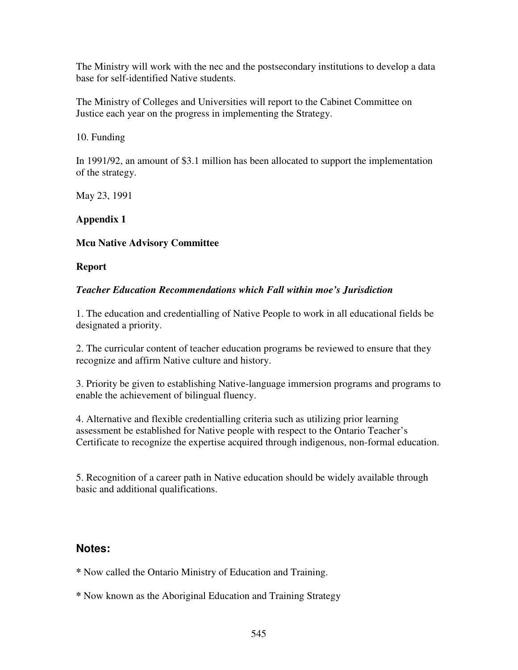The Ministry will work with the nec and the postsecondary institutions to develop a data base for self-identified Native students.

The Ministry of Colleges and Universities will report to the Cabinet Committee on Justice each year on the progress in implementing the Strategy.

10. Funding

In 1991/92, an amount of \$3.1 million has been allocated to support the implementation of the strategy.

May 23, 1991

# **Appendix 1**

# **Mcu Native Advisory Committee**

#### **Report**

#### *Teacher Education Recommendations which Fall within moe's Jurisdiction*

1. The education and credentialling of Native People to work in all educational fields be designated a priority.

2. The curricular content of teacher education programs be reviewed to ensure that they recognize and affirm Native culture and history.

3. Priority be given to establishing Native-language immersion programs and programs to enable the achievement of bilingual fluency.

4. Alternative and flexible credentialling criteria such as utilizing prior learning assessment be established for Native people with respect to the Ontario Teacher's Certificate to recognize the expertise acquired through indigenous, non-formal education.

5. Recognition of a career path in Native education should be widely available through basic and additional qualifications.

# **Notes:**

**\*** Now called the Ontario Ministry of Education and Training.

**\*** Now known as the Aboriginal Education and Training Strategy